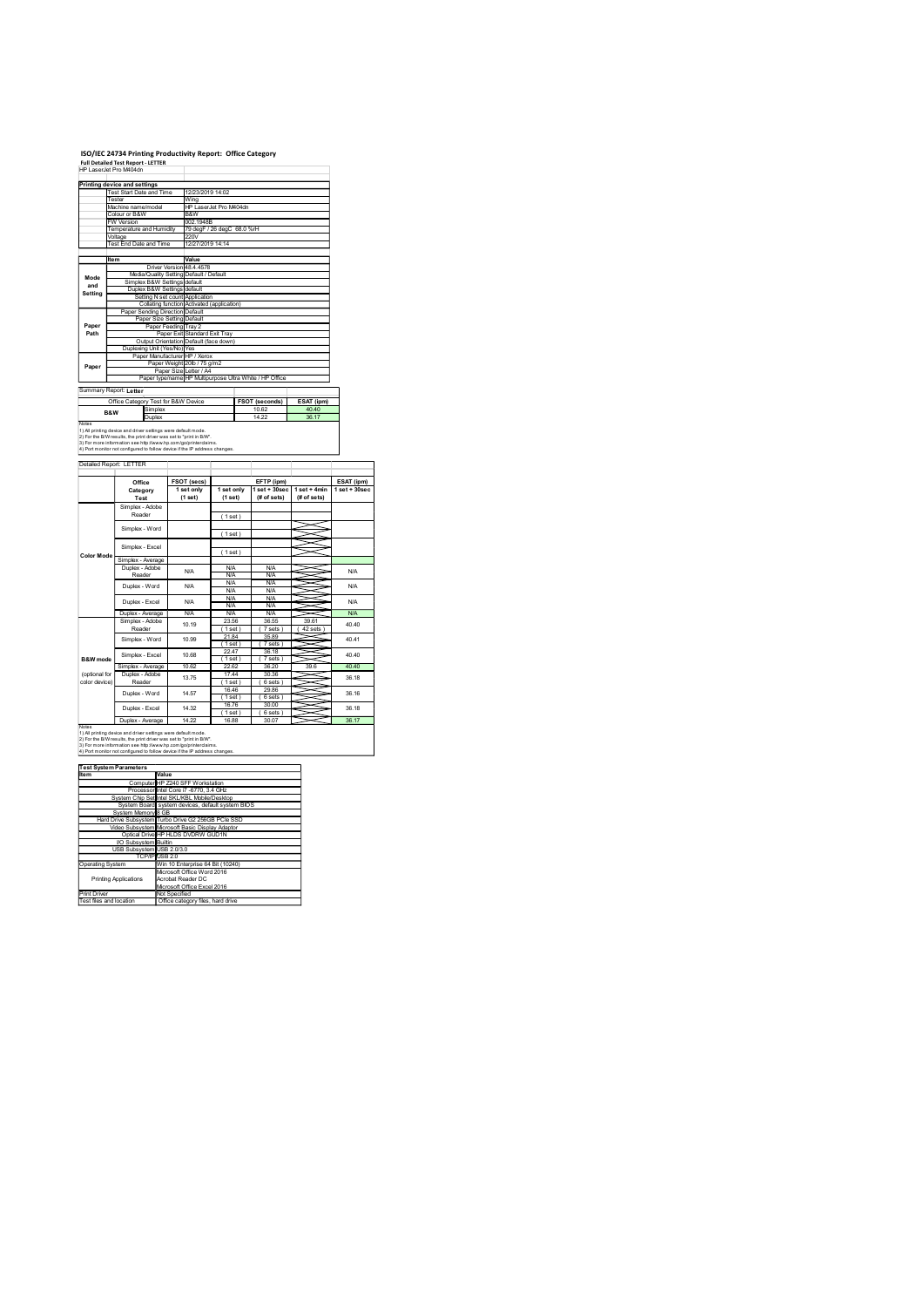# ISO/IEC 24734 Printing Productivity Report: Office Category Full Detailed Test Report - LETTER

|                                         | ISO/IEC 24734 Printing Productivity Report: Office Category<br>Full Detailed Test Report - LETTER<br>HP LaserJet Pro M404dn<br>Printing device and settings                                                                                                                           |                                                                                                                                                                                     |                                                                                   |                                                                    |                                    |                                |
|-----------------------------------------|---------------------------------------------------------------------------------------------------------------------------------------------------------------------------------------------------------------------------------------------------------------------------------------|-------------------------------------------------------------------------------------------------------------------------------------------------------------------------------------|-----------------------------------------------------------------------------------|--------------------------------------------------------------------|------------------------------------|--------------------------------|
|                                         | Test Start Date and Time<br>Tester<br>Machine name/model<br>Colour or B&W<br><b>W</b> Version                                                                                                                                                                                         | Wing<br>B&W<br>002.1948B                                                                                                                                                            | 12/23/2019 14:02<br>HP LaserJet Pro M404dn                                        |                                                                    |                                    |                                |
|                                         | Temperature and Humidity<br>Voltage<br>Test End Date and Time<br>ltem                                                                                                                                                                                                                 | 220V<br>Value                                                                                                                                                                       | 79 degF / 26 degC 68.0 %rH<br>12/27/2019 14:14                                    |                                                                    |                                    |                                |
| Mode<br>and<br>Setting                  | Simplex B&W Settings default                                                                                                                                                                                                                                                          | Driver Version 48.4.4578<br>Media/Quality Setting Default / Default<br>Duplex B&W Settings default<br>Setting N set count Application<br>Collating function Activated (application) |                                                                                   |                                                                    |                                    |                                |
| Paper<br>Path                           | Paper Sending Direction Default                                                                                                                                                                                                                                                       | Paper Size Setting Default<br>Paper Feeding Tray 2<br>Paper Exit Standard Exit Tray<br>Output Orientation Default (face down)                                                       |                                                                                   |                                                                    |                                    |                                |
| Paper                                   | Duplexing Unit (Yes/No) Yes                                                                                                                                                                                                                                                           | Paper Manufacturer HP / Xerox<br>Paper Weight 20lb / 75 g/m2                                                                                                                        | Paper Size Letter / A4<br>Paper type/name HP Multipurpose Ultra White / HP Office |                                                                    |                                    |                                |
|                                         | Summary Report: Letter<br>Office Category Test for B&W Device<br>Simplex<br>B&W<br>Duplex                                                                                                                                                                                             |                                                                                                                                                                                     |                                                                                   | <b>FSOT (seconds)</b><br>10.62<br>14.22                            | ESAT (ipm)<br>40.40<br>36.17       |                                |
| Notes                                   | 1) All printing device and driver settings were default mode.<br>2) For the B/W results, the print driver was set to "print in B/W".<br>3) For more information see http://www.hp.com/go/printerclaims.<br>4) Port monitor not configured to follow device if the IP address changes. |                                                                                                                                                                                     |                                                                                   |                                                                    |                                    |                                |
|                                         | Detailed Report: LETTER<br>Office<br>Category                                                                                                                                                                                                                                         | <b>FSOT (secs)</b><br>1 set only                                                                                                                                                    | 1 set only                                                                        | EFTP (ipm)                                                         | $1$ set + 30sec $1$ set + 4min     | ESAT (ipm)<br>$1 set + 30 sec$ |
|                                         | Test<br>Simplex - Adobe<br>Reader                                                                                                                                                                                                                                                     | (1 set)                                                                                                                                                                             | (1 set)<br>(1 set)                                                                | (# of sets)                                                        | $#$ of sets)                       |                                |
| <b>Color Mode</b>                       | Simplex - Word<br>Simplex - Excel<br>Simplex - Average                                                                                                                                                                                                                                |                                                                                                                                                                                     | (1 set)<br>(1 set)                                                                |                                                                    |                                    |                                |
|                                         | Duplex - Adobe<br>Reader<br>Duplex - Word                                                                                                                                                                                                                                             | <b>N/A</b><br><b>N/A</b>                                                                                                                                                            | <b>N/A</b><br><b>N/A</b><br><b>N/A</b><br><b>N/A</b><br><b>N/A</b>                | <b>N/A</b><br><b>N/A</b><br><b>N/A</b><br><b>N/A</b><br><b>N/A</b> |                                    | <b>N/A</b><br><b>N/A</b>       |
|                                         | Duplex - Excel<br>Duplex - Average<br>Simplex - Adobe<br>Reader                                                                                                                                                                                                                       | <b>N/A</b><br><b>N/A</b><br>10.19                                                                                                                                                   | N/A<br><b>N/A</b><br>23.56<br>(1 set)<br>21.84                                    | N/A<br><b>N/A</b><br>36.55<br>(7 sets)<br>35.89                    | X<br>39.61<br>(42 sets)<br>≂       | <b>N/A</b><br>N/A<br>40.40     |
| <b>B&amp;W</b> mode<br>(optional for    | Simplex - Word<br>Simplex - Excel<br>Simplex - Average<br>Duplex - Adobe                                                                                                                                                                                                              | 10.99<br>10.68<br>10.62                                                                                                                                                             | (1 set)<br>22.47<br>(1 set)<br>22.62<br>17.44                                     | (7 sets)<br>36.18<br>(7 sets)<br>36.20<br>30.36                    | ∍<br>X<br>∍<br>~<br>~<br>39.6<br>~ | 40.41<br>40.40<br>40.40        |
| color device)                           | Reader<br>Duplex - Word<br>Duplex - Excel                                                                                                                                                                                                                                             | 13.75<br>14.57<br>14.32                                                                                                                                                             | (1 set)<br>16.46<br>(1 set)<br>16.76<br>(1 set)                                   | (6 sets)<br>29.86<br>(6 sets)<br>30.00<br>(6 sets)                 | ≍<br>∍                             | 36.18<br>36.16<br>36.18        |
|                                         | Duplex - Average<br>1) All printing device and driver settings were default mode.<br>2) For the B/W results, the print driver was set to "print in B/W".                                                                                                                              | 14.22<br>3) For more information see http://www.hp.com/go/printerclaims.                                                                                                            | 16.88                                                                             | 30.07                                                              |                                    | 36.17                          |
| Notes                                   |                                                                                                                                                                                                                                                                                       |                                                                                                                                                                                     |                                                                                   |                                                                    |                                    |                                |
| Item                                    | 4) Port monitor not configured to follow device if the IP address changes.<br><b>Test System Parameters</b><br>Value                                                                                                                                                                  |                                                                                                                                                                                     |                                                                                   |                                                                    |                                    |                                |
|                                         | System Chip Set Intel SKL/KBL Mobile/Desktop<br>System Board system devices, default system BIOS<br>System Memory 8 GB                                                                                                                                                                | Computer HP Z240 SFF Workstation<br>Processor Intel Core i7 -6770, 3.4 GHz                                                                                                          |                                                                                   |                                                                    |                                    |                                |
|                                         | Hard Drive Subsystem Turbo Drive G2 256GB PCIe SSD<br>Video Subsystem Microsoft Basic Display Adaptor<br>Optical Drive HP HLDS DVDRW GUD1N<br>VO Subsystem Builtin<br>USB Subsystem USB 2.0/3.0                                                                                       |                                                                                                                                                                                     |                                                                                   |                                                                    |                                    |                                |
| Operating System                        | TCP/IP USB 2.0<br><b>Printing Applications</b>                                                                                                                                                                                                                                        | Win 10 Enterprise 64 Bit (10240)<br>Microsoft Office Word 2016<br>Acrobat Reader DC<br>Microsoft Office Excel 2016                                                                  |                                                                                   |                                                                    |                                    |                                |
| Print Driver<br>Test files and location |                                                                                                                                                                                                                                                                                       | Not Specified<br>Office category files, hard drive                                                                                                                                  |                                                                                   |                                                                    |                                    |                                |
|                                         |                                                                                                                                                                                                                                                                                       |                                                                                                                                                                                     |                                                                                   |                                                                    |                                    |                                |

| <u>IGOL O VOLUIIIF GIGIIID LUI O</u> |                                                    |
|--------------------------------------|----------------------------------------------------|
| Item                                 | Value                                              |
|                                      | Computer HP Z240 SFF Workstation                   |
|                                      | Processor Intel Core i7 -6770, 3.4 GHz             |
|                                      | System Chip Set Intel SKL/KBL Mobile/Desktop       |
|                                      | System Board system devices, default system BIOS   |
| System Memory 8 GB                   |                                                    |
|                                      | Hard Drive Subsystem Turbo Drive G2 256GB PCle SSD |
|                                      | Video Subsystem Microsoft Basic Display Adaptor    |
|                                      | Optical Drive HP HLDS DVDRW GUD1N                  |
| <b>VO Subsystem Builtin</b>          |                                                    |
| USB Subsystem USB 2.0/3.0            |                                                    |
|                                      | TCP/IP USB 2.0                                     |
| <b>Operating System</b>              | Win 10 Enterprise 64 Bit (10240)                   |
|                                      | Microsoft Office Word 2016                         |
| <b>Printing Applications</b>         | Acrobat Reader DC                                  |
|                                      | Microsoft Office Excel 2016                        |
| Print Driver                         | Not Specified                                      |
| Tool floo and location               | Office entered flee hard drive                     |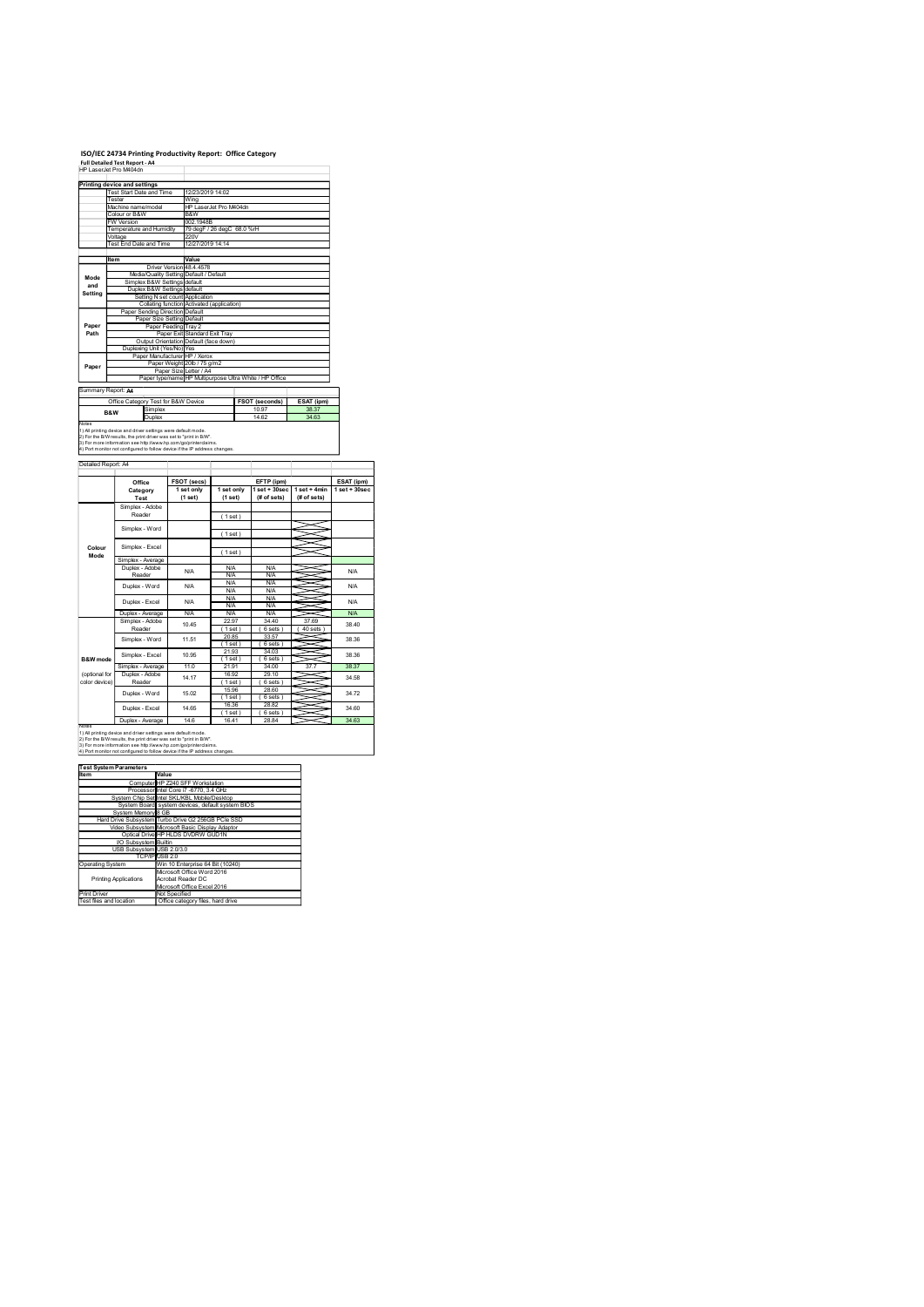# ISO/IEC 24734 Printing Productivity Report: Office Category

|                                | ISO/IEC 24734 Printing Productivity Report: Office Category<br>Full Detailed Test Report - A4<br>HP LaserJet Pro M404dn<br>Printing device and settings<br>Test Start Date and Time<br>Tester<br>Machine name/model<br>Colour or B&W                                                                      |                                                                                                                                                                                         |                                                                                   |                                                             |                                              |                                   |
|--------------------------------|-----------------------------------------------------------------------------------------------------------------------------------------------------------------------------------------------------------------------------------------------------------------------------------------------------------|-----------------------------------------------------------------------------------------------------------------------------------------------------------------------------------------|-----------------------------------------------------------------------------------|-------------------------------------------------------------|----------------------------------------------|-----------------------------------|
|                                |                                                                                                                                                                                                                                                                                                           |                                                                                                                                                                                         |                                                                                   |                                                             |                                              |                                   |
|                                |                                                                                                                                                                                                                                                                                                           |                                                                                                                                                                                         |                                                                                   |                                                             |                                              |                                   |
|                                |                                                                                                                                                                                                                                                                                                           |                                                                                                                                                                                         |                                                                                   |                                                             |                                              |                                   |
|                                |                                                                                                                                                                                                                                                                                                           |                                                                                                                                                                                         |                                                                                   |                                                             |                                              |                                   |
|                                |                                                                                                                                                                                                                                                                                                           |                                                                                                                                                                                         |                                                                                   |                                                             |                                              |                                   |
|                                |                                                                                                                                                                                                                                                                                                           |                                                                                                                                                                                         |                                                                                   |                                                             |                                              |                                   |
|                                |                                                                                                                                                                                                                                                                                                           |                                                                                                                                                                                         |                                                                                   |                                                             |                                              |                                   |
|                                |                                                                                                                                                                                                                                                                                                           |                                                                                                                                                                                         |                                                                                   |                                                             |                                              |                                   |
|                                |                                                                                                                                                                                                                                                                                                           |                                                                                                                                                                                         |                                                                                   |                                                             |                                              |                                   |
|                                | <b>W</b> Version<br>Temperature and Humidity                                                                                                                                                                                                                                                              | Wing<br>B&W<br>002.1948B                                                                                                                                                                | 12/23/2019 14:02<br>HP LaserJet Pro M404dn<br>79 degF / 26 degC 68.0 %rH          |                                                             |                                              |                                   |
|                                | Voltage<br>Test End Date and Time<br>ltem                                                                                                                                                                                                                                                                 | 220V<br>Value<br>Driver Version 48.4.4578                                                                                                                                               | 12/27/2019 14:14                                                                  |                                                             |                                              |                                   |
| Mode<br>and<br>Setting         |                                                                                                                                                                                                                                                                                                           | Media/Quality Setting Default / Default<br>Simplex B&W Settings default<br>Duplex B&W Settings default<br>Setting N set count Application<br>Collating function Activated (application) |                                                                                   |                                                             |                                              |                                   |
| Paper<br>Path                  |                                                                                                                                                                                                                                                                                                           | Paper Sending Direction Default<br>Paper Size Setting Default<br>Paper Feeding Tray 2<br>Paper Exit Standard Exit Tray<br>Output Orientation Default (face down)                        |                                                                                   |                                                             |                                              |                                   |
| Paper                          |                                                                                                                                                                                                                                                                                                           | Duplexing Unit (Yes/No) Yes<br>Paper Manufacturer HP / Xerox<br>Paper Weight 20lb / 75 g/m2                                                                                             | Paper Size Letter / A4<br>Paper type/name HP Multipurpose Ultra White / HP Office |                                                             |                                              |                                   |
|                                | Summary Report: A4<br>Office Category Test for B&W Device<br>Simplex<br>B&W<br>Duplex                                                                                                                                                                                                                     |                                                                                                                                                                                         |                                                                                   | FSOT (seconds)<br>10.97<br>14.62                            | ESAT (ipm)<br>38.37<br>34.63                 |                                   |
| Notes                          | 1) All printing device and driver settings were default mode.<br>2) For the B/W results, the print driver was set to "print in B/W".<br>3) For more information see http://www.hp.com/go/printerclaims.<br>4) Port monitor not configured to follow device if the IP address changes.                     |                                                                                                                                                                                         |                                                                                   |                                                             |                                              |                                   |
|                                | Detailed Report: A4<br>Office<br>Category                                                                                                                                                                                                                                                                 | <b>FSOT (secs)</b><br>1 set only                                                                                                                                                        | 1 set only                                                                        | EFTP (ipm)                                                  | 1 set + 30sec   1 set + 4min   1 set + 30sec | ESAT (ipm)                        |
|                                | Test<br>Simplex - Adobe<br>Reader                                                                                                                                                                                                                                                                         | (1 set)                                                                                                                                                                                 | (1 set)<br>(1 set)                                                                | (# of sets)                                                 | $#$ of sets)                                 |                                   |
| Colour<br>Mode                 | Simplex - Word<br>Simplex - Excel<br>Simplex - Average                                                                                                                                                                                                                                                    |                                                                                                                                                                                         | (1 set)<br>(1 set)                                                                |                                                             |                                              |                                   |
|                                | Duplex - Adobe<br>Reader<br>Duplex - Word                                                                                                                                                                                                                                                                 | <b>N/A</b><br><b>N/A</b>                                                                                                                                                                | <b>N/A</b><br><b>N/A</b><br><b>N/A</b><br><b>N/A</b><br><b>N/A</b>                | <b>N/A</b><br><b>N/A</b><br><b>N/A</b><br><b>N/A</b><br>N/A |                                              |                                   |
|                                | Duplex - Excel<br>Duplex - Average<br>Simplex - Adobe<br>Reader                                                                                                                                                                                                                                           | <b>N/A</b><br><b>N/A</b><br>10.45                                                                                                                                                       | N/A<br><b>N/A</b><br>22.97<br>(1 set)                                             | N/A<br><b>N/A</b><br>34.40<br>(6 sets)                      | X<br>37.69<br>(40 sets)<br>≂                 | <b>N/A</b><br><b>N/A</b><br>38.40 |
| <b>B&amp;W</b> mode            | Simplex - Word<br>Simplex - Excel<br>Simplex - Average                                                                                                                                                                                                                                                    | 11.51<br>10.95<br>11.0                                                                                                                                                                  | 20.85<br>(1 set)<br>21.93<br>(1 set)<br>21.91                                     | 33.57<br>(6 sets)<br>34.03<br>(6 sets)<br>34.00             | ∍<br>X<br>∍<br>~<br>~<br>37.7                | 38.36<br>38.36<br>38.37           |
| (optional for<br>color device) | Duplex - Adobe<br>Reader<br>Duplex - Word<br>Duplex - Excel                                                                                                                                                                                                                                               | 14.17<br>15.02<br>14.65                                                                                                                                                                 | 16.92<br>(1 set)<br>15.96<br>(1 set)<br>16.36                                     | 29.10<br>(6 sets)<br>28.60<br>(6 sets)<br>28.82             | ~<br>><<br>∍                                 | 34.58<br>34.72<br>34.60           |
| Notes                          | Duplex - Average<br>1) All printing device and driver settings were default mode.<br>2) For the B/W results, the print driver was set to "print in B/W".<br>3) For more information see http://www.hp.com/go/printerclaims.<br>4) Port monitor not configured to follow device if the IP address changes. | 14.6                                                                                                                                                                                    | (1 set)<br>16.41                                                                  | (6 sets)<br>28.84                                           |                                              | 34.63                             |
| Item                           | <b>Test System Parameters</b>                                                                                                                                                                                                                                                                             | Value                                                                                                                                                                                   |                                                                                   |                                                             |                                              |                                   |
|                                | System Memory 8 GB                                                                                                                                                                                                                                                                                        | Computer HP Z240 SFF Workstation<br>Processor Intel Core i7 -6770, 3.4 GHz<br>System Chip Set Intel SKL/KBL Mobile/Desktop                                                              | System Board system devices, default system BIOS                                  |                                                             |                                              |                                   |
|                                | Hard Drive Subsystem Turbo Drive G2 256GB PCIe SSD                                                                                                                                                                                                                                                        | Video Subsystem Microsoft Basic Display Adaptor<br>Optical Drive HP HLDS DVDRW GUD1N<br>VO Subsystem Builtin<br>USB Subsystem USB 2.0/3.0                                               |                                                                                   |                                                             |                                              |                                   |
|                                |                                                                                                                                                                                                                                                                                                           | TCP/IP USB 2.0<br>Win 10 Enterprise 64 Bit (10240)<br>Microsoft Office Word 2016<br>Acrobat Reader DC                                                                                   |                                                                                   |                                                             |                                              |                                   |
|                                | Operating System<br><b>Printing Applications</b>                                                                                                                                                                                                                                                          |                                                                                                                                                                                         |                                                                                   |                                                             |                                              |                                   |
|                                | Print Driver<br>Test files and location                                                                                                                                                                                                                                                                   | Microsoft Office Excel 2016<br>Not Specified<br>Office category files, hard drive                                                                                                       |                                                                                   |                                                             |                                              |                                   |
|                                |                                                                                                                                                                                                                                                                                                           |                                                                                                                                                                                         |                                                                                   |                                                             |                                              |                                   |

| Item                        | Value                                              |
|-----------------------------|----------------------------------------------------|
|                             | Computer HP Z240 SFF Workstation                   |
|                             | Processor Intel Core i7 -6770, 3.4 GHz             |
|                             | System Chip Set Intel SKL/KBL Mobile/Desktop       |
|                             | System Board system devices, default system BIOS   |
| System Memory 8 GB          |                                                    |
|                             | Hard Drive Subsystem Turbo Drive G2 256GB PCle SSD |
|                             | Video Subsystem Microsoft Basic Display Adaptor    |
|                             | Optical Drive HP HLDS DVDRW GUD1N                  |
| <b>VO Subsystem Builtin</b> |                                                    |
| USB Subsystem USB 2.0/3.0   |                                                    |
|                             | TCP/IP USB 2.0                                     |
| <b>Operating System</b>     | Win 10 Enterprise 64 Bit (10240)                   |
|                             | Microsoft Office Word 2016                         |
| Printing Applications       | Acrobat Reader DC                                  |
|                             | Microsoft Office Excel 2016                        |
| Print Driver                | Not Specified                                      |
| Test files and location     | Office category files, hard drive                  |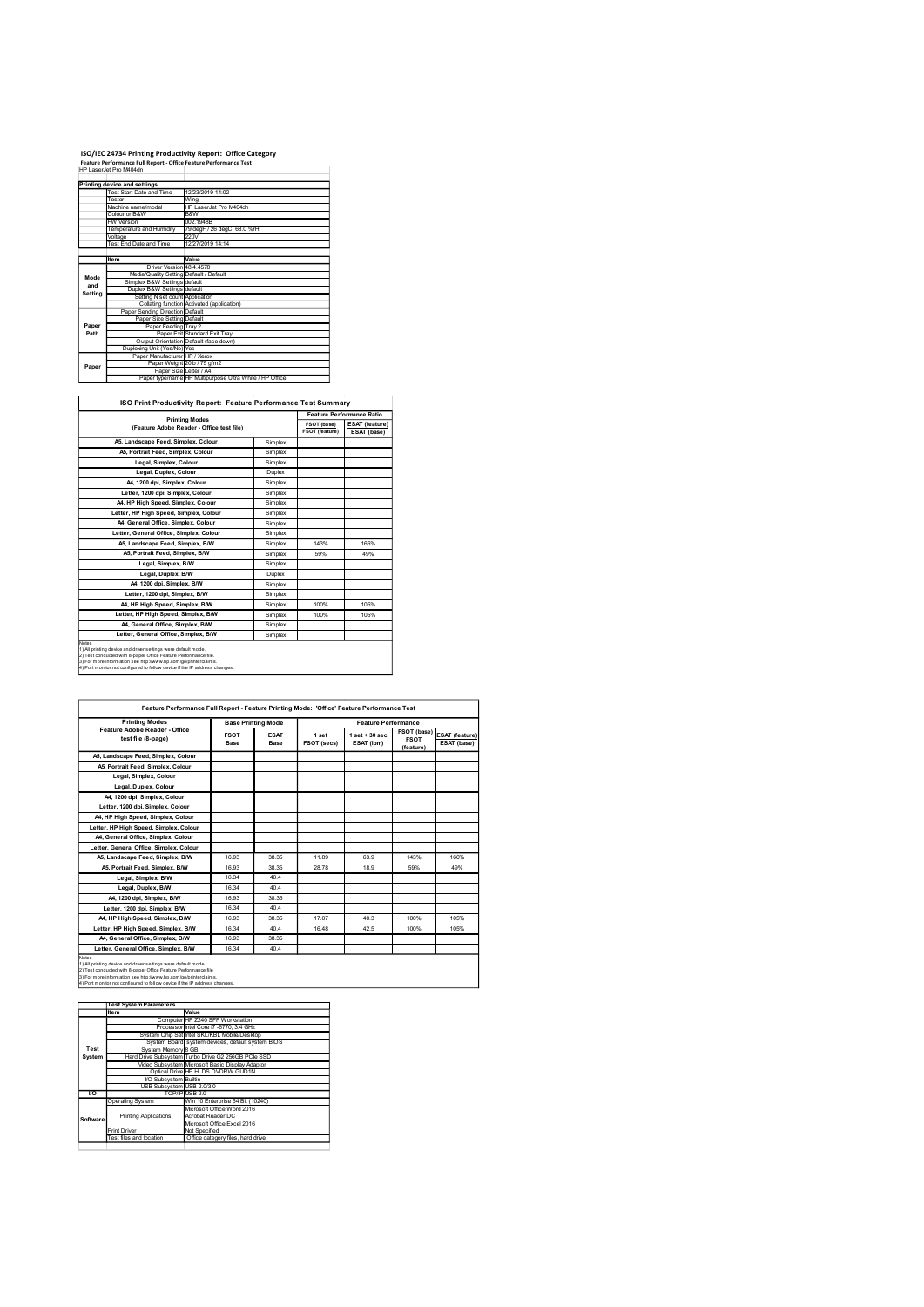## ISO/IEC 24734 Printing Productivity Report: Office Category Feature Performance Full Report - Office Feature Performance Test

|             | ISO/IEC 24734 Printing Productivity Report: Office Category         |                                                                                             |                    |                               |                                      |
|-------------|---------------------------------------------------------------------|---------------------------------------------------------------------------------------------|--------------------|-------------------------------|--------------------------------------|
|             |                                                                     |                                                                                             |                    |                               |                                      |
|             |                                                                     | Feature Performance Full Report - Office Feature Performance Test<br>HP LaserJet Pro M404dn |                    |                               |                                      |
|             |                                                                     |                                                                                             |                    |                               |                                      |
|             | Printing device and settings<br><b>Test Start Date and Time</b>     | 12/23/2019 14:02                                                                            |                    |                               |                                      |
|             | Tester<br>Machine name/model                                        | Wing<br>HP LaserJet Pro M404dn                                                              |                    |                               |                                      |
|             | Colour or B&W<br><b>FW Version</b>                                  | B&W<br>002.1948B                                                                            |                    |                               |                                      |
|             | Temperature and Humidity                                            | 79 degF / 26 degC 68.0 %rH                                                                  |                    |                               |                                      |
|             | Voltage<br>Test End Date and Time                                   | 220V<br>12/27/2019 14:14                                                                    |                    |                               |                                      |
|             | Item                                                                | Value                                                                                       |                    |                               |                                      |
|             | Driver Version 48.4.4578<br>Media/Quality Setting Default / Default |                                                                                             |                    |                               |                                      |
| Mode<br>and | Simplex B&W Settings default                                        |                                                                                             |                    |                               |                                      |
| Setting     | Duplex B&W Settings default<br>Setting N set count Application      |                                                                                             |                    |                               |                                      |
|             | Paper Sending Direction Default                                     | Collating function Activated (application)                                                  |                    |                               |                                      |
| Paper       | Paper Size Setting Default                                          |                                                                                             |                    |                               |                                      |
| Path        | Paper Feeding Tray 2                                                | Paper Exit Standard Exit Tray                                                               |                    |                               |                                      |
|             | Duplexing Unit (Yes/No) Yes                                         | Output Orientation Default (face down)                                                      |                    |                               |                                      |
|             | Paper Manufacturer HP / Xerox                                       | Paper Weight 20lb / 75 g/m2                                                                 |                    |                               |                                      |
| Paper       |                                                                     | Paper Size Letter / A4<br>Paper type/name HP Multipurpose Ultra White / HP Office           |                    |                               |                                      |
|             |                                                                     |                                                                                             |                    |                               |                                      |
|             |                                                                     | ISO Print Productivity Report: Feature Performance Test Summary                             |                    |                               |                                      |
|             |                                                                     | <b>Printing Modes</b>                                                                       |                    |                               | Feature Performance Ratio            |
|             |                                                                     | (Feature Adobe Reader - Office test file)                                                   |                    | FSOT (base)<br>FSOT (feature) | <b>ESAT</b> (feature)<br>ESAT (base) |
|             | A5, Landscape Feed, Simplex, Colour                                 |                                                                                             | Simplex            |                               |                                      |
|             | A5, Portrait Feed, Simplex, Colour<br>Legal, Simplex, Colour        |                                                                                             | Simplex<br>Simplex |                               |                                      |

| ISO Print Productivity Report: Feature Performance Test Summary |  |
|-----------------------------------------------------------------|--|

|             | ISO/IEC 24734 Printing Productivity Report: Office Category<br>Feature Performance Full Report - Office Feature Performance Test                                                                                                                                                 |                                                         |         |                |                           |
|-------------|----------------------------------------------------------------------------------------------------------------------------------------------------------------------------------------------------------------------------------------------------------------------------------|---------------------------------------------------------|---------|----------------|---------------------------|
|             | HP LaserJet Pro M404dn                                                                                                                                                                                                                                                           |                                                         |         |                |                           |
|             | Printing device and settings                                                                                                                                                                                                                                                     |                                                         |         |                |                           |
|             | Test Start Date and Time                                                                                                                                                                                                                                                         | 12/23/2019 14:02                                        |         |                |                           |
|             | Tester<br>Machine name/model                                                                                                                                                                                                                                                     | Wing<br>HP LaserJet Pro M404dn                          |         |                |                           |
|             | Colour or B&W                                                                                                                                                                                                                                                                    | B&W                                                     |         |                |                           |
|             | FW Version                                                                                                                                                                                                                                                                       | 002.1948B                                               |         |                |                           |
|             | Temperature and Humidity<br>Voltage                                                                                                                                                                                                                                              | 79 degF / 26 degC 68.0 %rH<br>220V                      |         |                |                           |
|             | Test End Date and Time                                                                                                                                                                                                                                                           | 12/27/2019 14:14                                        |         |                |                           |
|             |                                                                                                                                                                                                                                                                                  |                                                         |         |                |                           |
|             | Item<br>Driver Version 48.4.4578                                                                                                                                                                                                                                                 | Value                                                   |         |                |                           |
|             | Media/Quality Setting Default / Default                                                                                                                                                                                                                                          |                                                         |         |                |                           |
| Mode<br>and | Simplex B&W Settings default                                                                                                                                                                                                                                                     |                                                         |         |                |                           |
| Setting     | Duplex B&W Settings default                                                                                                                                                                                                                                                      |                                                         |         |                |                           |
|             | Setting N set count Application                                                                                                                                                                                                                                                  | Collating function Activated (application)              |         |                |                           |
|             | Paper Sending Direction Default                                                                                                                                                                                                                                                  |                                                         |         |                |                           |
| Paper       | Paper Size Setting Default<br>Paper Feeding Tray 2                                                                                                                                                                                                                               |                                                         |         |                |                           |
| Path        |                                                                                                                                                                                                                                                                                  | Paper Exit Standard Exit Tray                           |         |                |                           |
|             | Output Orientation Default (face down)                                                                                                                                                                                                                                           |                                                         |         |                |                           |
|             | Duplexing Unit (Yes/No) Yes<br>Paper Manufacturer HP / Xerox                                                                                                                                                                                                                     |                                                         |         |                |                           |
|             | Paper Weight 20lb / 75 g/m2                                                                                                                                                                                                                                                      |                                                         |         |                |                           |
| Paper       | Paper Size Letter / A4                                                                                                                                                                                                                                                           |                                                         |         |                |                           |
|             |                                                                                                                                                                                                                                                                                  | Paper type/name HP Multipurpose Ultra White / HP Office |         |                |                           |
|             |                                                                                                                                                                                                                                                                                  |                                                         |         |                |                           |
|             | ISO Print Productivity Report: Feature Performance Test Summary                                                                                                                                                                                                                  |                                                         |         |                |                           |
|             |                                                                                                                                                                                                                                                                                  |                                                         |         |                | Feature Performance Ratio |
|             | <b>Printing Modes</b>                                                                                                                                                                                                                                                            |                                                         |         | FSOT (base)    | ESAT (feature)            |
|             | (Feature Adobe Reader - Office test file)                                                                                                                                                                                                                                        |                                                         |         | FSOT (feature) | ESAT (base)               |
|             | A5, Landscape Feed, Simplex, Colour                                                                                                                                                                                                                                              |                                                         | Simplex |                |                           |
|             | A5, Portrait Feed, Simplex, Colour                                                                                                                                                                                                                                               |                                                         | Simplex |                |                           |
|             | Legal, Simplex, Colour                                                                                                                                                                                                                                                           |                                                         | Simplex |                |                           |
|             | Legal, Duplex, Colour                                                                                                                                                                                                                                                            |                                                         | Duplex  |                |                           |
|             | A4, 1200 dpi, Simplex, Colour                                                                                                                                                                                                                                                    |                                                         | Simplex |                |                           |
|             | Letter, 1200 dpi, Simplex, Colour                                                                                                                                                                                                                                                |                                                         | Simplex |                |                           |
|             | A4, HP High Speed, Simplex, Colour                                                                                                                                                                                                                                               |                                                         | Simplex |                |                           |
|             | Letter, HP High Speed, Simplex, Colour                                                                                                                                                                                                                                           |                                                         | Simplex |                |                           |
|             | A4, General Office, Simplex, Colour                                                                                                                                                                                                                                              |                                                         | Simplex |                |                           |
|             | Letter, General Office, Simplex, Colour                                                                                                                                                                                                                                          |                                                         | Simplex |                |                           |
|             | A5, Landscape Feed, Simplex, B/W                                                                                                                                                                                                                                                 |                                                         | Simplex | 143%           | 166%                      |
|             | A5, Portrait Feed, Simplex, B/W                                                                                                                                                                                                                                                  |                                                         | Simplex | 59%            | 49%                       |
|             | Legal, Simplex, B/W                                                                                                                                                                                                                                                              |                                                         | Simplex |                |                           |
|             | Legal, Duplex, B/W                                                                                                                                                                                                                                                               |                                                         | Duplex  |                |                           |
|             | A4, 1200 dpi, Simplex, B/W                                                                                                                                                                                                                                                       |                                                         | Simplex |                |                           |
|             |                                                                                                                                                                                                                                                                                  |                                                         |         |                |                           |
|             | Letter, 1200 dpi, Simplex, B/W                                                                                                                                                                                                                                                   |                                                         | Simplex |                |                           |
|             | A4, HP High Speed, Simplex, B/W                                                                                                                                                                                                                                                  |                                                         | Simplex | 100%           | 105%                      |
|             | Letter, HP High Speed, Simplex, B/W                                                                                                                                                                                                                                              |                                                         | Simplex | 100%           | 105%                      |
|             | A4, General Office, Simplex, B/W                                                                                                                                                                                                                                                 |                                                         | Simplex |                |                           |
|             | Letter, General Office, Simplex, B/W                                                                                                                                                                                                                                             |                                                         | Simplex |                |                           |
|             |                                                                                                                                                                                                                                                                                  |                                                         |         |                |                           |
|             | ) All printing device and driver settings were default mode.<br>2) Test conducted with 8-paper Office Feature Performance file.<br>3) For more information see http://www.hp.com/go/printerclaims.<br>4) Port monitor not configured to follow device if the IP address changes. |                                                         |         |                |                           |

| Legal, Simplex, Colour<br>Legal, Duplex, Colour<br>A4, 1200 dpi, Simplex, Colour<br>Letter, 1200 dpi, Simplex, Colour<br>A4, HP High Speed, Simplex, Colour<br>Letter, HP High Speed, Simplex, Colour<br>A4, General Office, Simplex, Colour<br>Letter, General Office, Simplex, Colour<br>A5, Landscape Feed, Simplex, B/W<br>A5, Portrait Feed, Simplex, B/W<br>Legal, Simplex, B/W<br>Legal, Duplex, B/W<br>A4, 1200 dpi, Simplex, B/W<br>Letter, 1200 dpi, Simplex, B/W<br>A4, HP High Speed, Simplex, B/W<br>Letter, HP High Speed, Simplex, B/W<br>A4, General Office, Simplex, B/W<br>Letter, General Office, Simplex, B/W<br>------<br>1) All printing device and driver settings were default mode.<br>2) Test conducted with 8-paper Office Feature Performance file.<br>3) For more information see http://www.hp.com/go/printerclaims.<br>4) Port monitor not configured to follow device if the IP address changes.<br>Feature Performance Full Report - Feature Printing Mode: 'Office' Feature Performance Test<br><b>Printing Modes</b><br>Feature Adobe Reader - Office<br>test file (8-page)<br>A5, Landscape Feed, Simplex, Colour<br>A5, Portrait Feed, Simplex, Colour<br>Legal, Simplex, Colour<br>Legal, Duplex, Colour<br>A4, 1200 dpi, Simplex, Colour<br>Letter, 1200 dpi, Simplex, Colour<br>A4, HP High Speed, Simplex, Colour<br>Letter, HP High Speed, Simplex, Colour<br>A4, General Office, Simplex, Colour<br>Letter, General Office, Simplex, Colour | Simplex<br>Simplex<br>Duplex<br>Simplex<br>Simplex<br>Simplex<br>Simplex<br>Simplex<br>Simplex<br>Simplex<br>Simplex<br>Simplex<br>Duplex<br>Simplex<br>Simplex<br>Simplex<br>Simplex<br>Simplex<br>Simplex<br><b>Base Printing Mode</b><br><b>FSOT</b><br><b>ESAT</b><br>Base<br>Base | 143%<br>59%<br>100%<br>100%<br>1 set<br>FSOT (secs)                                                                               | 166%<br>49%<br>105%<br>105%<br><b>Feature Performance</b><br>$1 set + 30 sec$<br>ESAT (ipm) | FSOT (base)<br><b>FSOT</b><br>(feature) |                                      |
|----------------------------------------------------------------------------------------------------------------------------------------------------------------------------------------------------------------------------------------------------------------------------------------------------------------------------------------------------------------------------------------------------------------------------------------------------------------------------------------------------------------------------------------------------------------------------------------------------------------------------------------------------------------------------------------------------------------------------------------------------------------------------------------------------------------------------------------------------------------------------------------------------------------------------------------------------------------------------------------------------------------------------------------------------------------------------------------------------------------------------------------------------------------------------------------------------------------------------------------------------------------------------------------------------------------------------------------------------------------------------------------------------------------------------------------------------------------------------------------|----------------------------------------------------------------------------------------------------------------------------------------------------------------------------------------------------------------------------------------------------------------------------------------|-----------------------------------------------------------------------------------------------------------------------------------|---------------------------------------------------------------------------------------------|-----------------------------------------|--------------------------------------|
|                                                                                                                                                                                                                                                                                                                                                                                                                                                                                                                                                                                                                                                                                                                                                                                                                                                                                                                                                                                                                                                                                                                                                                                                                                                                                                                                                                                                                                                                                        |                                                                                                                                                                                                                                                                                        |                                                                                                                                   |                                                                                             |                                         |                                      |
|                                                                                                                                                                                                                                                                                                                                                                                                                                                                                                                                                                                                                                                                                                                                                                                                                                                                                                                                                                                                                                                                                                                                                                                                                                                                                                                                                                                                                                                                                        |                                                                                                                                                                                                                                                                                        |                                                                                                                                   |                                                                                             |                                         |                                      |
|                                                                                                                                                                                                                                                                                                                                                                                                                                                                                                                                                                                                                                                                                                                                                                                                                                                                                                                                                                                                                                                                                                                                                                                                                                                                                                                                                                                                                                                                                        |                                                                                                                                                                                                                                                                                        |                                                                                                                                   |                                                                                             |                                         |                                      |
|                                                                                                                                                                                                                                                                                                                                                                                                                                                                                                                                                                                                                                                                                                                                                                                                                                                                                                                                                                                                                                                                                                                                                                                                                                                                                                                                                                                                                                                                                        |                                                                                                                                                                                                                                                                                        |                                                                                                                                   |                                                                                             |                                         |                                      |
|                                                                                                                                                                                                                                                                                                                                                                                                                                                                                                                                                                                                                                                                                                                                                                                                                                                                                                                                                                                                                                                                                                                                                                                                                                                                                                                                                                                                                                                                                        |                                                                                                                                                                                                                                                                                        |                                                                                                                                   |                                                                                             |                                         |                                      |
|                                                                                                                                                                                                                                                                                                                                                                                                                                                                                                                                                                                                                                                                                                                                                                                                                                                                                                                                                                                                                                                                                                                                                                                                                                                                                                                                                                                                                                                                                        |                                                                                                                                                                                                                                                                                        |                                                                                                                                   |                                                                                             |                                         |                                      |
|                                                                                                                                                                                                                                                                                                                                                                                                                                                                                                                                                                                                                                                                                                                                                                                                                                                                                                                                                                                                                                                                                                                                                                                                                                                                                                                                                                                                                                                                                        |                                                                                                                                                                                                                                                                                        |                                                                                                                                   |                                                                                             |                                         |                                      |
|                                                                                                                                                                                                                                                                                                                                                                                                                                                                                                                                                                                                                                                                                                                                                                                                                                                                                                                                                                                                                                                                                                                                                                                                                                                                                                                                                                                                                                                                                        |                                                                                                                                                                                                                                                                                        |                                                                                                                                   |                                                                                             |                                         |                                      |
|                                                                                                                                                                                                                                                                                                                                                                                                                                                                                                                                                                                                                                                                                                                                                                                                                                                                                                                                                                                                                                                                                                                                                                                                                                                                                                                                                                                                                                                                                        |                                                                                                                                                                                                                                                                                        |                                                                                                                                   |                                                                                             |                                         |                                      |
|                                                                                                                                                                                                                                                                                                                                                                                                                                                                                                                                                                                                                                                                                                                                                                                                                                                                                                                                                                                                                                                                                                                                                                                                                                                                                                                                                                                                                                                                                        |                                                                                                                                                                                                                                                                                        |                                                                                                                                   |                                                                                             |                                         |                                      |
|                                                                                                                                                                                                                                                                                                                                                                                                                                                                                                                                                                                                                                                                                                                                                                                                                                                                                                                                                                                                                                                                                                                                                                                                                                                                                                                                                                                                                                                                                        |                                                                                                                                                                                                                                                                                        |                                                                                                                                   |                                                                                             |                                         |                                      |
|                                                                                                                                                                                                                                                                                                                                                                                                                                                                                                                                                                                                                                                                                                                                                                                                                                                                                                                                                                                                                                                                                                                                                                                                                                                                                                                                                                                                                                                                                        |                                                                                                                                                                                                                                                                                        |                                                                                                                                   |                                                                                             |                                         |                                      |
|                                                                                                                                                                                                                                                                                                                                                                                                                                                                                                                                                                                                                                                                                                                                                                                                                                                                                                                                                                                                                                                                                                                                                                                                                                                                                                                                                                                                                                                                                        |                                                                                                                                                                                                                                                                                        |                                                                                                                                   |                                                                                             |                                         |                                      |
|                                                                                                                                                                                                                                                                                                                                                                                                                                                                                                                                                                                                                                                                                                                                                                                                                                                                                                                                                                                                                                                                                                                                                                                                                                                                                                                                                                                                                                                                                        |                                                                                                                                                                                                                                                                                        |                                                                                                                                   |                                                                                             |                                         |                                      |
|                                                                                                                                                                                                                                                                                                                                                                                                                                                                                                                                                                                                                                                                                                                                                                                                                                                                                                                                                                                                                                                                                                                                                                                                                                                                                                                                                                                                                                                                                        |                                                                                                                                                                                                                                                                                        |                                                                                                                                   |                                                                                             |                                         |                                      |
|                                                                                                                                                                                                                                                                                                                                                                                                                                                                                                                                                                                                                                                                                                                                                                                                                                                                                                                                                                                                                                                                                                                                                                                                                                                                                                                                                                                                                                                                                        |                                                                                                                                                                                                                                                                                        |                                                                                                                                   |                                                                                             |                                         |                                      |
|                                                                                                                                                                                                                                                                                                                                                                                                                                                                                                                                                                                                                                                                                                                                                                                                                                                                                                                                                                                                                                                                                                                                                                                                                                                                                                                                                                                                                                                                                        |                                                                                                                                                                                                                                                                                        |                                                                                                                                   |                                                                                             |                                         |                                      |
|                                                                                                                                                                                                                                                                                                                                                                                                                                                                                                                                                                                                                                                                                                                                                                                                                                                                                                                                                                                                                                                                                                                                                                                                                                                                                                                                                                                                                                                                                        |                                                                                                                                                                                                                                                                                        |                                                                                                                                   |                                                                                             |                                         |                                      |
|                                                                                                                                                                                                                                                                                                                                                                                                                                                                                                                                                                                                                                                                                                                                                                                                                                                                                                                                                                                                                                                                                                                                                                                                                                                                                                                                                                                                                                                                                        |                                                                                                                                                                                                                                                                                        |                                                                                                                                   |                                                                                             |                                         |                                      |
|                                                                                                                                                                                                                                                                                                                                                                                                                                                                                                                                                                                                                                                                                                                                                                                                                                                                                                                                                                                                                                                                                                                                                                                                                                                                                                                                                                                                                                                                                        |                                                                                                                                                                                                                                                                                        |                                                                                                                                   |                                                                                             |                                         |                                      |
|                                                                                                                                                                                                                                                                                                                                                                                                                                                                                                                                                                                                                                                                                                                                                                                                                                                                                                                                                                                                                                                                                                                                                                                                                                                                                                                                                                                                                                                                                        |                                                                                                                                                                                                                                                                                        |                                                                                                                                   |                                                                                             |                                         | <b>ESAT</b> (feature)<br>ESAT (base) |
|                                                                                                                                                                                                                                                                                                                                                                                                                                                                                                                                                                                                                                                                                                                                                                                                                                                                                                                                                                                                                                                                                                                                                                                                                                                                                                                                                                                                                                                                                        |                                                                                                                                                                                                                                                                                        |                                                                                                                                   |                                                                                             |                                         |                                      |
|                                                                                                                                                                                                                                                                                                                                                                                                                                                                                                                                                                                                                                                                                                                                                                                                                                                                                                                                                                                                                                                                                                                                                                                                                                                                                                                                                                                                                                                                                        |                                                                                                                                                                                                                                                                                        |                                                                                                                                   |                                                                                             |                                         |                                      |
|                                                                                                                                                                                                                                                                                                                                                                                                                                                                                                                                                                                                                                                                                                                                                                                                                                                                                                                                                                                                                                                                                                                                                                                                                                                                                                                                                                                                                                                                                        |                                                                                                                                                                                                                                                                                        |                                                                                                                                   |                                                                                             |                                         |                                      |
|                                                                                                                                                                                                                                                                                                                                                                                                                                                                                                                                                                                                                                                                                                                                                                                                                                                                                                                                                                                                                                                                                                                                                                                                                                                                                                                                                                                                                                                                                        |                                                                                                                                                                                                                                                                                        |                                                                                                                                   |                                                                                             |                                         |                                      |
|                                                                                                                                                                                                                                                                                                                                                                                                                                                                                                                                                                                                                                                                                                                                                                                                                                                                                                                                                                                                                                                                                                                                                                                                                                                                                                                                                                                                                                                                                        |                                                                                                                                                                                                                                                                                        |                                                                                                                                   |                                                                                             |                                         |                                      |
|                                                                                                                                                                                                                                                                                                                                                                                                                                                                                                                                                                                                                                                                                                                                                                                                                                                                                                                                                                                                                                                                                                                                                                                                                                                                                                                                                                                                                                                                                        |                                                                                                                                                                                                                                                                                        |                                                                                                                                   |                                                                                             |                                         |                                      |
|                                                                                                                                                                                                                                                                                                                                                                                                                                                                                                                                                                                                                                                                                                                                                                                                                                                                                                                                                                                                                                                                                                                                                                                                                                                                                                                                                                                                                                                                                        |                                                                                                                                                                                                                                                                                        |                                                                                                                                   |                                                                                             |                                         |                                      |
|                                                                                                                                                                                                                                                                                                                                                                                                                                                                                                                                                                                                                                                                                                                                                                                                                                                                                                                                                                                                                                                                                                                                                                                                                                                                                                                                                                                                                                                                                        |                                                                                                                                                                                                                                                                                        |                                                                                                                                   |                                                                                             |                                         |                                      |
|                                                                                                                                                                                                                                                                                                                                                                                                                                                                                                                                                                                                                                                                                                                                                                                                                                                                                                                                                                                                                                                                                                                                                                                                                                                                                                                                                                                                                                                                                        |                                                                                                                                                                                                                                                                                        |                                                                                                                                   |                                                                                             |                                         |                                      |
|                                                                                                                                                                                                                                                                                                                                                                                                                                                                                                                                                                                                                                                                                                                                                                                                                                                                                                                                                                                                                                                                                                                                                                                                                                                                                                                                                                                                                                                                                        |                                                                                                                                                                                                                                                                                        |                                                                                                                                   |                                                                                             |                                         |                                      |
|                                                                                                                                                                                                                                                                                                                                                                                                                                                                                                                                                                                                                                                                                                                                                                                                                                                                                                                                                                                                                                                                                                                                                                                                                                                                                                                                                                                                                                                                                        |                                                                                                                                                                                                                                                                                        |                                                                                                                                   |                                                                                             |                                         |                                      |
| A5, Landscape Feed, Simplex, B/W                                                                                                                                                                                                                                                                                                                                                                                                                                                                                                                                                                                                                                                                                                                                                                                                                                                                                                                                                                                                                                                                                                                                                                                                                                                                                                                                                                                                                                                       | 16.93<br>38.35                                                                                                                                                                                                                                                                         | 11.89                                                                                                                             | 63.9                                                                                        | 143%                                    | 166%                                 |
| A5, Portrait Feed, Simplex, B/W                                                                                                                                                                                                                                                                                                                                                                                                                                                                                                                                                                                                                                                                                                                                                                                                                                                                                                                                                                                                                                                                                                                                                                                                                                                                                                                                                                                                                                                        | 16.93<br>38.35                                                                                                                                                                                                                                                                         | 28.78                                                                                                                             | 18.9                                                                                        | 59%                                     | 49%                                  |
| Legal, Simplex, B/W                                                                                                                                                                                                                                                                                                                                                                                                                                                                                                                                                                                                                                                                                                                                                                                                                                                                                                                                                                                                                                                                                                                                                                                                                                                                                                                                                                                                                                                                    | 16.34<br>40.4                                                                                                                                                                                                                                                                          |                                                                                                                                   |                                                                                             |                                         |                                      |
| Legal, Duplex, B/W                                                                                                                                                                                                                                                                                                                                                                                                                                                                                                                                                                                                                                                                                                                                                                                                                                                                                                                                                                                                                                                                                                                                                                                                                                                                                                                                                                                                                                                                     | 16.34<br>40.4                                                                                                                                                                                                                                                                          |                                                                                                                                   |                                                                                             |                                         |                                      |
| A4, 1200 dpi, Simplex, B/W                                                                                                                                                                                                                                                                                                                                                                                                                                                                                                                                                                                                                                                                                                                                                                                                                                                                                                                                                                                                                                                                                                                                                                                                                                                                                                                                                                                                                                                             | 38.35<br>16.93                                                                                                                                                                                                                                                                         |                                                                                                                                   |                                                                                             |                                         |                                      |
| Letter, 1200 dpi, Simplex, B/W                                                                                                                                                                                                                                                                                                                                                                                                                                                                                                                                                                                                                                                                                                                                                                                                                                                                                                                                                                                                                                                                                                                                                                                                                                                                                                                                                                                                                                                         | 16.34<br>40.4                                                                                                                                                                                                                                                                          |                                                                                                                                   |                                                                                             |                                         |                                      |
| A4, HP High Speed, Simplex, B/W                                                                                                                                                                                                                                                                                                                                                                                                                                                                                                                                                                                                                                                                                                                                                                                                                                                                                                                                                                                                                                                                                                                                                                                                                                                                                                                                                                                                                                                        |                                                                                                                                                                                                                                                                                        | 17.07                                                                                                                             | 40.3                                                                                        | 100%                                    | 105%                                 |
| Letter, HP High Speed, Simplex, B/W                                                                                                                                                                                                                                                                                                                                                                                                                                                                                                                                                                                                                                                                                                                                                                                                                                                                                                                                                                                                                                                                                                                                                                                                                                                                                                                                                                                                                                                    |                                                                                                                                                                                                                                                                                        | 16.48                                                                                                                             | 42.5                                                                                        | 100%                                    | 105%                                 |
| A4, General Office, Simplex, B/W                                                                                                                                                                                                                                                                                                                                                                                                                                                                                                                                                                                                                                                                                                                                                                                                                                                                                                                                                                                                                                                                                                                                                                                                                                                                                                                                                                                                                                                       |                                                                                                                                                                                                                                                                                        |                                                                                                                                   |                                                                                             |                                         |                                      |
|                                                                                                                                                                                                                                                                                                                                                                                                                                                                                                                                                                                                                                                                                                                                                                                                                                                                                                                                                                                                                                                                                                                                                                                                                                                                                                                                                                                                                                                                                        |                                                                                                                                                                                                                                                                                        |                                                                                                                                   |                                                                                             |                                         |                                      |
| 1) All printing device and driver settings were default mode.<br>Test conducted with 8-paper Office Feature Performance file<br>3) For more information see http://www.hp.com/go/printerclaims.<br>Port monitor not configured to follow device if the IP address changes                                                                                                                                                                                                                                                                                                                                                                                                                                                                                                                                                                                                                                                                                                                                                                                                                                                                                                                                                                                                                                                                                                                                                                                                              |                                                                                                                                                                                                                                                                                        |                                                                                                                                   |                                                                                             |                                         |                                      |
|                                                                                                                                                                                                                                                                                                                                                                                                                                                                                                                                                                                                                                                                                                                                                                                                                                                                                                                                                                                                                                                                                                                                                                                                                                                                                                                                                                                                                                                                                        |                                                                                                                                                                                                                                                                                        |                                                                                                                                   |                                                                                             |                                         |                                      |
| <b>Test System Parameters</b>                                                                                                                                                                                                                                                                                                                                                                                                                                                                                                                                                                                                                                                                                                                                                                                                                                                                                                                                                                                                                                                                                                                                                                                                                                                                                                                                                                                                                                                          |                                                                                                                                                                                                                                                                                        |                                                                                                                                   |                                                                                             |                                         |                                      |
|                                                                                                                                                                                                                                                                                                                                                                                                                                                                                                                                                                                                                                                                                                                                                                                                                                                                                                                                                                                                                                                                                                                                                                                                                                                                                                                                                                                                                                                                                        |                                                                                                                                                                                                                                                                                        |                                                                                                                                   |                                                                                             |                                         |                                      |
| Processor Intel Core i7 -6770, 3.4 GHz                                                                                                                                                                                                                                                                                                                                                                                                                                                                                                                                                                                                                                                                                                                                                                                                                                                                                                                                                                                                                                                                                                                                                                                                                                                                                                                                                                                                                                                 |                                                                                                                                                                                                                                                                                        |                                                                                                                                   |                                                                                             |                                         |                                      |
| System Chip Set Intel SKL/KBL Mobile/Desktop                                                                                                                                                                                                                                                                                                                                                                                                                                                                                                                                                                                                                                                                                                                                                                                                                                                                                                                                                                                                                                                                                                                                                                                                                                                                                                                                                                                                                                           |                                                                                                                                                                                                                                                                                        |                                                                                                                                   |                                                                                             |                                         |                                      |
|                                                                                                                                                                                                                                                                                                                                                                                                                                                                                                                                                                                                                                                                                                                                                                                                                                                                                                                                                                                                                                                                                                                                                                                                                                                                                                                                                                                                                                                                                        |                                                                                                                                                                                                                                                                                        |                                                                                                                                   |                                                                                             |                                         |                                      |
| Hard Drive Subsystem Turbo Drive G2 256GB PCle SSD                                                                                                                                                                                                                                                                                                                                                                                                                                                                                                                                                                                                                                                                                                                                                                                                                                                                                                                                                                                                                                                                                                                                                                                                                                                                                                                                                                                                                                     |                                                                                                                                                                                                                                                                                        |                                                                                                                                   |                                                                                             |                                         |                                      |
| Video Subsystem Microsoft Basic Display Adaptor                                                                                                                                                                                                                                                                                                                                                                                                                                                                                                                                                                                                                                                                                                                                                                                                                                                                                                                                                                                                                                                                                                                                                                                                                                                                                                                                                                                                                                        |                                                                                                                                                                                                                                                                                        |                                                                                                                                   |                                                                                             |                                         |                                      |
| Optical Drive HP HLDS DVDRW GUD1N                                                                                                                                                                                                                                                                                                                                                                                                                                                                                                                                                                                                                                                                                                                                                                                                                                                                                                                                                                                                                                                                                                                                                                                                                                                                                                                                                                                                                                                      |                                                                                                                                                                                                                                                                                        |                                                                                                                                   |                                                                                             |                                         |                                      |
|                                                                                                                                                                                                                                                                                                                                                                                                                                                                                                                                                                                                                                                                                                                                                                                                                                                                                                                                                                                                                                                                                                                                                                                                                                                                                                                                                                                                                                                                                        |                                                                                                                                                                                                                                                                                        |                                                                                                                                   |                                                                                             |                                         |                                      |
| TCP/IP USB 2.0                                                                                                                                                                                                                                                                                                                                                                                                                                                                                                                                                                                                                                                                                                                                                                                                                                                                                                                                                                                                                                                                                                                                                                                                                                                                                                                                                                                                                                                                         |                                                                                                                                                                                                                                                                                        |                                                                                                                                   |                                                                                             |                                         |                                      |
|                                                                                                                                                                                                                                                                                                                                                                                                                                                                                                                                                                                                                                                                                                                                                                                                                                                                                                                                                                                                                                                                                                                                                                                                                                                                                                                                                                                                                                                                                        |                                                                                                                                                                                                                                                                                        |                                                                                                                                   |                                                                                             |                                         |                                      |
|                                                                                                                                                                                                                                                                                                                                                                                                                                                                                                                                                                                                                                                                                                                                                                                                                                                                                                                                                                                                                                                                                                                                                                                                                                                                                                                                                                                                                                                                                        |                                                                                                                                                                                                                                                                                        |                                                                                                                                   |                                                                                             |                                         |                                      |
| Acrobat Reader DC<br><b>Printing Applications</b>                                                                                                                                                                                                                                                                                                                                                                                                                                                                                                                                                                                                                                                                                                                                                                                                                                                                                                                                                                                                                                                                                                                                                                                                                                                                                                                                                                                                                                      |                                                                                                                                                                                                                                                                                        |                                                                                                                                   |                                                                                             |                                         |                                      |
|                                                                                                                                                                                                                                                                                                                                                                                                                                                                                                                                                                                                                                                                                                                                                                                                                                                                                                                                                                                                                                                                                                                                                                                                                                                                                                                                                                                                                                                                                        |                                                                                                                                                                                                                                                                                        |                                                                                                                                   |                                                                                             |                                         |                                      |
| Not Specified<br>Office category files, hard drive                                                                                                                                                                                                                                                                                                                                                                                                                                                                                                                                                                                                                                                                                                                                                                                                                                                                                                                                                                                                                                                                                                                                                                                                                                                                                                                                                                                                                                     |                                                                                                                                                                                                                                                                                        |                                                                                                                                   |                                                                                             |                                         |                                      |
| Letter, General Office, Simplex, B/W<br><b>Value</b><br>Computer HP Z240 SFF Workstation<br>System Memory 8 GB<br>VO Subsystem Builtin<br>USB Subsystem USB 2.0/3.0                                                                                                                                                                                                                                                                                                                                                                                                                                                                                                                                                                                                                                                                                                                                                                                                                                                                                                                                                                                                                                                                                                                                                                                                                                                                                                                    |                                                                                                                                                                                                                                                                                        | 16.93<br>16.34<br>16.93<br>16.34<br>Win 10 Enterprise 64 Bit (10240)<br>Vicrosoft Office Word 2016<br>Microsoft Office Excel 2016 | 38.35<br>40.4<br>38.35<br>40.4<br>System Board system devices, default system BIOS          |                                         |                                      |

| ia) For more information see nubwww.np.com/go/printercialms.               |
|----------------------------------------------------------------------------|
| 4) Port monitor not configured to follow device if the IP address changes. |

|          | <b>Test System Parameters</b> |                                                    |
|----------|-------------------------------|----------------------------------------------------|
|          | Item                          | Value                                              |
|          |                               | Computer HP Z240 SFF Workstation                   |
|          |                               | Processor Intel Core i7 -6770, 3.4 GHz             |
|          |                               | System Chip Set Intel SKL/KBL Mobile/Desktop       |
|          |                               | System Board system devices, default system BIOS   |
| Test     | System Memory 8 GB            |                                                    |
| System   |                               | Hard Drive Subsystem Turbo Drive G2 256GB PCIe SSD |
|          |                               | Video Subsystem Microsoft Basic Display Adaptor    |
|          |                               | Optical Drive HP HLDS DVDRW GUD1N                  |
|          | <b>VO Subsystem Builtin</b>   |                                                    |
|          | USB Subsystem USB 2.0/3.0     |                                                    |
| VO       |                               | TCP/IP USB 2.0                                     |
|          | Operating System              | Win 10 Enterprise 64 Bit (10240)                   |
|          |                               | Microsoft Office Word 2016                         |
| Software | <b>Printing Applications</b>  | Acrobat Reader DC                                  |
|          |                               | Microsoft Office Excel 2016                        |
|          | Print Driver                  | Not Specified                                      |
|          | Test files and location       | Office category files, hard drive                  |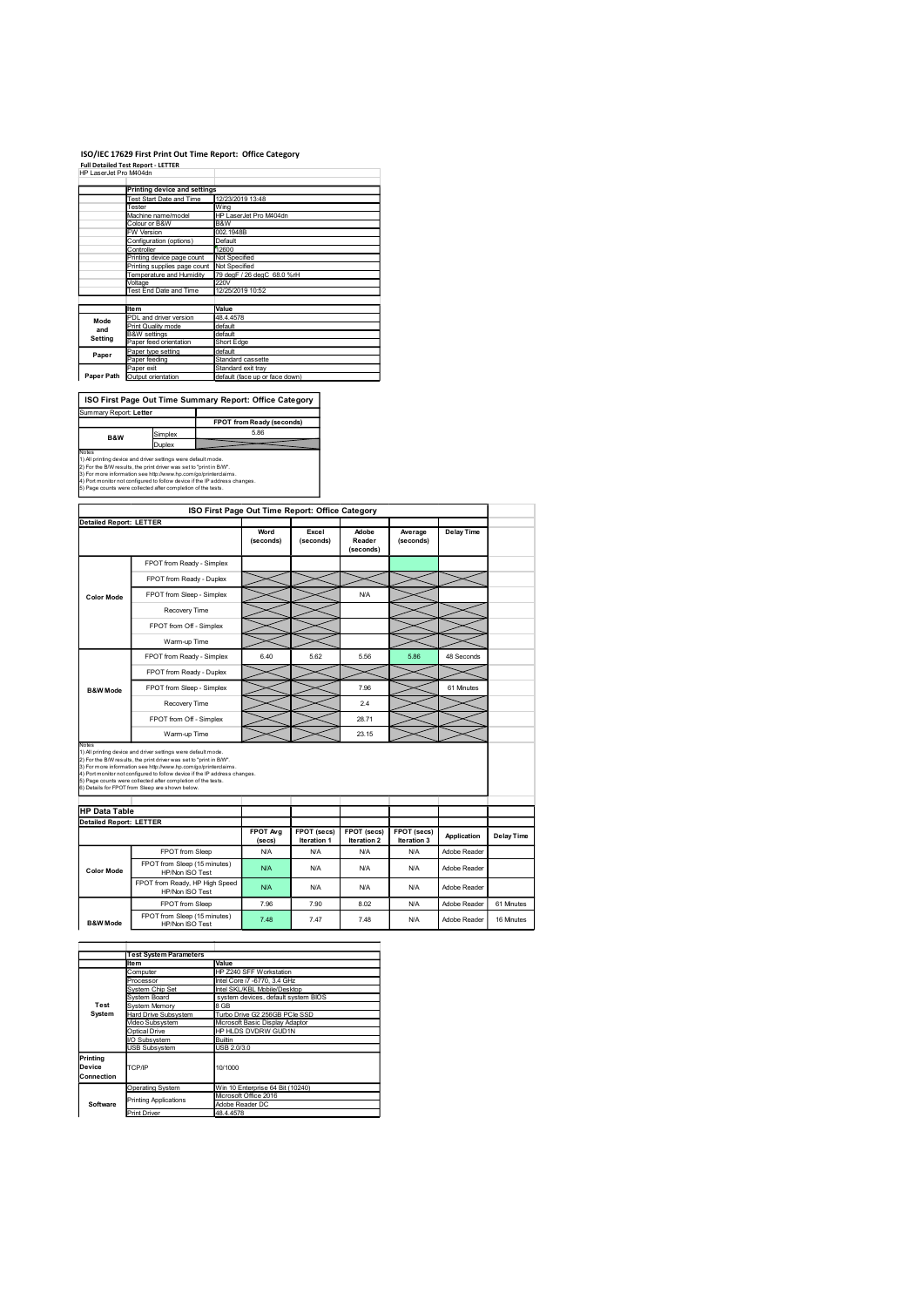### ISO/IEC 17629 First Print Out Time Report: Office Category

|                                 |                                                                                                                                      | ISO/IEC 17629 First Print Out Time Report: Office Category |
|---------------------------------|--------------------------------------------------------------------------------------------------------------------------------------|------------------------------------------------------------|
| HP LaserJet Pro M404dn          | <b>Full Detailed Test Report - LETTER</b>                                                                                            |                                                            |
|                                 |                                                                                                                                      |                                                            |
|                                 | <b>Printing device and settings</b>                                                                                                  | 12/23/2019 13:48                                           |
|                                 | Test Start Date and Time<br>Tester                                                                                                   | Wing                                                       |
|                                 | Machine name/model                                                                                                                   | HP LaserJet Pro M404dn                                     |
|                                 | Colour or B&W<br>W Version                                                                                                           | B&W<br>002.1948B                                           |
|                                 | Configuration (options)                                                                                                              | Default                                                    |
|                                 | Controller<br>Printing device page count                                                                                             | 12600<br>Not Specified                                     |
|                                 | Printing supplies page count                                                                                                         | Not Specified                                              |
|                                 | Temperature and Humidity<br>Voltage                                                                                                  | 79 degF / 26 degC 68.0 %rH<br>220V                         |
|                                 |                                                                                                                                      | 12/25/2019 10:52                                           |
|                                 |                                                                                                                                      |                                                            |
|                                 | Test End Date and Time                                                                                                               |                                                            |
|                                 | Item                                                                                                                                 | Value                                                      |
| Mode                            | PDL and driver version<br>Print Quality mode                                                                                         | 48.4.4578<br>default                                       |
| and<br>Setting                  | <b>B&amp;W</b> settings                                                                                                              | default                                                    |
|                                 | Paper feed orientation<br>Paper type setting                                                                                         | Short Edge<br>default                                      |
| Paper                           | Paper feeding                                                                                                                        | Standard cassette                                          |
|                                 | Paper exit                                                                                                                           | Standard exit tray<br>default (face up or face down)       |
|                                 | Paper Path Output orientation                                                                                                        |                                                            |
|                                 |                                                                                                                                      |                                                            |
|                                 |                                                                                                                                      | ISO First Page Out Time Summary Report: Office Category    |
|                                 |                                                                                                                                      | FPOT from Ready (seconds)                                  |
|                                 | Simplex                                                                                                                              | 5.86                                                       |
| B&W                             | Duplex                                                                                                                               |                                                            |
| Summary Report: Letter<br>Notes | 1) All printing device and driver settings were default mode.<br>2) For the B/W results, the print driver was set to "print in B/W". |                                                            |

| <b>Printing device and settings</b>                                    |                                                                                                                                                                                                                                                            |                                                                                                                                                                                                                                                                                                                                                                                                                                                                                                                                                                                                                                                                                                                                                                                                                                                                                                                                     |                                                                                                                                                                                                                                                                  |                                                                                                                                                              |                                                                                            |                                                     |                                                  |
|------------------------------------------------------------------------|------------------------------------------------------------------------------------------------------------------------------------------------------------------------------------------------------------------------------------------------------------|-------------------------------------------------------------------------------------------------------------------------------------------------------------------------------------------------------------------------------------------------------------------------------------------------------------------------------------------------------------------------------------------------------------------------------------------------------------------------------------------------------------------------------------------------------------------------------------------------------------------------------------------------------------------------------------------------------------------------------------------------------------------------------------------------------------------------------------------------------------------------------------------------------------------------------------|------------------------------------------------------------------------------------------------------------------------------------------------------------------------------------------------------------------------------------------------------------------|--------------------------------------------------------------------------------------------------------------------------------------------------------------|--------------------------------------------------------------------------------------------|-----------------------------------------------------|--------------------------------------------------|
| Test Start Date and Time                                               | 12/23/2019 13:48                                                                                                                                                                                                                                           |                                                                                                                                                                                                                                                                                                                                                                                                                                                                                                                                                                                                                                                                                                                                                                                                                                                                                                                                     |                                                                                                                                                                                                                                                                  |                                                                                                                                                              |                                                                                            |                                                     |                                                  |
| Tester<br>Machine name/model                                           | Wing                                                                                                                                                                                                                                                       | HP LaserJet Pro M404dn                                                                                                                                                                                                                                                                                                                                                                                                                                                                                                                                                                                                                                                                                                                                                                                                                                                                                                              |                                                                                                                                                                                                                                                                  |                                                                                                                                                              |                                                                                            |                                                     |                                                  |
| Colour or B&W<br>FW Version                                            | B&W<br>002.1948B                                                                                                                                                                                                                                           |                                                                                                                                                                                                                                                                                                                                                                                                                                                                                                                                                                                                                                                                                                                                                                                                                                                                                                                                     |                                                                                                                                                                                                                                                                  |                                                                                                                                                              |                                                                                            |                                                     |                                                  |
| Configuration (options)                                                | Default                                                                                                                                                                                                                                                    |                                                                                                                                                                                                                                                                                                                                                                                                                                                                                                                                                                                                                                                                                                                                                                                                                                                                                                                                     |                                                                                                                                                                                                                                                                  |                                                                                                                                                              |                                                                                            |                                                     |                                                  |
| Controller<br>Printing device page count                               | 12600<br>Not Specified                                                                                                                                                                                                                                     |                                                                                                                                                                                                                                                                                                                                                                                                                                                                                                                                                                                                                                                                                                                                                                                                                                                                                                                                     |                                                                                                                                                                                                                                                                  |                                                                                                                                                              |                                                                                            |                                                     |                                                  |
| Printing supplies page count Not Specified<br>Temperature and Humidity |                                                                                                                                                                                                                                                            | 79 degF / 26 degC 68.0 %rH                                                                                                                                                                                                                                                                                                                                                                                                                                                                                                                                                                                                                                                                                                                                                                                                                                                                                                          |                                                                                                                                                                                                                                                                  |                                                                                                                                                              |                                                                                            |                                                     |                                                  |
| Voltage                                                                | 220V                                                                                                                                                                                                                                                       |                                                                                                                                                                                                                                                                                                                                                                                                                                                                                                                                                                                                                                                                                                                                                                                                                                                                                                                                     |                                                                                                                                                                                                                                                                  |                                                                                                                                                              |                                                                                            |                                                     |                                                  |
|                                                                        |                                                                                                                                                                                                                                                            |                                                                                                                                                                                                                                                                                                                                                                                                                                                                                                                                                                                                                                                                                                                                                                                                                                                                                                                                     |                                                                                                                                                                                                                                                                  |                                                                                                                                                              |                                                                                            |                                                     |                                                  |
| PDL and driver version                                                 |                                                                                                                                                                                                                                                            |                                                                                                                                                                                                                                                                                                                                                                                                                                                                                                                                                                                                                                                                                                                                                                                                                                                                                                                                     |                                                                                                                                                                                                                                                                  |                                                                                                                                                              |                                                                                            |                                                     |                                                  |
| Print Quality mode<br>8&W settings                                     | default                                                                                                                                                                                                                                                    |                                                                                                                                                                                                                                                                                                                                                                                                                                                                                                                                                                                                                                                                                                                                                                                                                                                                                                                                     |                                                                                                                                                                                                                                                                  |                                                                                                                                                              |                                                                                            |                                                     |                                                  |
| Paper feed orientation                                                 |                                                                                                                                                                                                                                                            |                                                                                                                                                                                                                                                                                                                                                                                                                                                                                                                                                                                                                                                                                                                                                                                                                                                                                                                                     |                                                                                                                                                                                                                                                                  |                                                                                                                                                              |                                                                                            |                                                     |                                                  |
| Paper feeding                                                          |                                                                                                                                                                                                                                                            |                                                                                                                                                                                                                                                                                                                                                                                                                                                                                                                                                                                                                                                                                                                                                                                                                                                                                                                                     |                                                                                                                                                                                                                                                                  |                                                                                                                                                              |                                                                                            |                                                     |                                                  |
| Paper Path Output orientation                                          |                                                                                                                                                                                                                                                            |                                                                                                                                                                                                                                                                                                                                                                                                                                                                                                                                                                                                                                                                                                                                                                                                                                                                                                                                     |                                                                                                                                                                                                                                                                  |                                                                                                                                                              |                                                                                            |                                                     |                                                  |
|                                                                        |                                                                                                                                                                                                                                                            |                                                                                                                                                                                                                                                                                                                                                                                                                                                                                                                                                                                                                                                                                                                                                                                                                                                                                                                                     |                                                                                                                                                                                                                                                                  |                                                                                                                                                              |                                                                                            |                                                     |                                                  |
|                                                                        |                                                                                                                                                                                                                                                            |                                                                                                                                                                                                                                                                                                                                                                                                                                                                                                                                                                                                                                                                                                                                                                                                                                                                                                                                     |                                                                                                                                                                                                                                                                  |                                                                                                                                                              |                                                                                            |                                                     |                                                  |
|                                                                        |                                                                                                                                                                                                                                                            |                                                                                                                                                                                                                                                                                                                                                                                                                                                                                                                                                                                                                                                                                                                                                                                                                                                                                                                                     |                                                                                                                                                                                                                                                                  |                                                                                                                                                              |                                                                                            |                                                     |                                                  |
| Simplex                                                                |                                                                                                                                                                                                                                                            | 5.86                                                                                                                                                                                                                                                                                                                                                                                                                                                                                                                                                                                                                                                                                                                                                                                                                                                                                                                                |                                                                                                                                                                                                                                                                  |                                                                                                                                                              |                                                                                            |                                                     |                                                  |
| Duplex                                                                 |                                                                                                                                                                                                                                                            |                                                                                                                                                                                                                                                                                                                                                                                                                                                                                                                                                                                                                                                                                                                                                                                                                                                                                                                                     |                                                                                                                                                                                                                                                                  |                                                                                                                                                              |                                                                                            |                                                     |                                                  |
|                                                                        |                                                                                                                                                                                                                                                            |                                                                                                                                                                                                                                                                                                                                                                                                                                                                                                                                                                                                                                                                                                                                                                                                                                                                                                                                     |                                                                                                                                                                                                                                                                  |                                                                                                                                                              |                                                                                            |                                                     |                                                  |
|                                                                        |                                                                                                                                                                                                                                                            |                                                                                                                                                                                                                                                                                                                                                                                                                                                                                                                                                                                                                                                                                                                                                                                                                                                                                                                                     |                                                                                                                                                                                                                                                                  |                                                                                                                                                              |                                                                                            |                                                     |                                                  |
|                                                                        |                                                                                                                                                                                                                                                            |                                                                                                                                                                                                                                                                                                                                                                                                                                                                                                                                                                                                                                                                                                                                                                                                                                                                                                                                     |                                                                                                                                                                                                                                                                  |                                                                                                                                                              |                                                                                            |                                                     |                                                  |
|                                                                        |                                                                                                                                                                                                                                                            | (seconds)                                                                                                                                                                                                                                                                                                                                                                                                                                                                                                                                                                                                                                                                                                                                                                                                                                                                                                                           | (seconds)                                                                                                                                                                                                                                                        | Reader                                                                                                                                                       | (seconds)                                                                                  |                                                     |                                                  |
|                                                                        |                                                                                                                                                                                                                                                            |                                                                                                                                                                                                                                                                                                                                                                                                                                                                                                                                                                                                                                                                                                                                                                                                                                                                                                                                     |                                                                                                                                                                                                                                                                  |                                                                                                                                                              |                                                                                            |                                                     |                                                  |
|                                                                        |                                                                                                                                                                                                                                                            |                                                                                                                                                                                                                                                                                                                                                                                                                                                                                                                                                                                                                                                                                                                                                                                                                                                                                                                                     |                                                                                                                                                                                                                                                                  |                                                                                                                                                              |                                                                                            |                                                     |                                                  |
|                                                                        |                                                                                                                                                                                                                                                            |                                                                                                                                                                                                                                                                                                                                                                                                                                                                                                                                                                                                                                                                                                                                                                                                                                                                                                                                     |                                                                                                                                                                                                                                                                  |                                                                                                                                                              |                                                                                            |                                                     |                                                  |
|                                                                        |                                                                                                                                                                                                                                                            |                                                                                                                                                                                                                                                                                                                                                                                                                                                                                                                                                                                                                                                                                                                                                                                                                                                                                                                                     |                                                                                                                                                                                                                                                                  |                                                                                                                                                              |                                                                                            |                                                     |                                                  |
|                                                                        |                                                                                                                                                                                                                                                            |                                                                                                                                                                                                                                                                                                                                                                                                                                                                                                                                                                                                                                                                                                                                                                                                                                                                                                                                     |                                                                                                                                                                                                                                                                  |                                                                                                                                                              |                                                                                            |                                                     |                                                  |
|                                                                        |                                                                                                                                                                                                                                                            |                                                                                                                                                                                                                                                                                                                                                                                                                                                                                                                                                                                                                                                                                                                                                                                                                                                                                                                                     |                                                                                                                                                                                                                                                                  |                                                                                                                                                              |                                                                                            |                                                     |                                                  |
|                                                                        |                                                                                                                                                                                                                                                            |                                                                                                                                                                                                                                                                                                                                                                                                                                                                                                                                                                                                                                                                                                                                                                                                                                                                                                                                     |                                                                                                                                                                                                                                                                  |                                                                                                                                                              |                                                                                            |                                                     |                                                  |
|                                                                        |                                                                                                                                                                                                                                                            | 6.40                                                                                                                                                                                                                                                                                                                                                                                                                                                                                                                                                                                                                                                                                                                                                                                                                                                                                                                                | 5.62                                                                                                                                                                                                                                                             | 5.56                                                                                                                                                         | 5.86                                                                                       | 48 Seconds                                          |                                                  |
|                                                                        |                                                                                                                                                                                                                                                            |                                                                                                                                                                                                                                                                                                                                                                                                                                                                                                                                                                                                                                                                                                                                                                                                                                                                                                                                     |                                                                                                                                                                                                                                                                  |                                                                                                                                                              |                                                                                            |                                                     |                                                  |
|                                                                        |                                                                                                                                                                                                                                                            |                                                                                                                                                                                                                                                                                                                                                                                                                                                                                                                                                                                                                                                                                                                                                                                                                                                                                                                                     |                                                                                                                                                                                                                                                                  | 7.96                                                                                                                                                         |                                                                                            | 61 Minutes                                          |                                                  |
| Recovery Time                                                          |                                                                                                                                                                                                                                                            |                                                                                                                                                                                                                                                                                                                                                                                                                                                                                                                                                                                                                                                                                                                                                                                                                                                                                                                                     |                                                                                                                                                                                                                                                                  | 2.4                                                                                                                                                          |                                                                                            |                                                     |                                                  |
|                                                                        |                                                                                                                                                                                                                                                            |                                                                                                                                                                                                                                                                                                                                                                                                                                                                                                                                                                                                                                                                                                                                                                                                                                                                                                                                     |                                                                                                                                                                                                                                                                  | 28.71                                                                                                                                                        |                                                                                            |                                                     |                                                  |
| Warm-up Time                                                           |                                                                                                                                                                                                                                                            |                                                                                                                                                                                                                                                                                                                                                                                                                                                                                                                                                                                                                                                                                                                                                                                                                                                                                                                                     |                                                                                                                                                                                                                                                                  | 23.15                                                                                                                                                        |                                                                                            |                                                     |                                                  |
| 6) Details for FPOT from Sleep are shown below.                        |                                                                                                                                                                                                                                                            |                                                                                                                                                                                                                                                                                                                                                                                                                                                                                                                                                                                                                                                                                                                                                                                                                                                                                                                                     |                                                                                                                                                                                                                                                                  |                                                                                                                                                              |                                                                                            |                                                     |                                                  |
| <b>HP Data Table</b>                                                   |                                                                                                                                                                                                                                                            |                                                                                                                                                                                                                                                                                                                                                                                                                                                                                                                                                                                                                                                                                                                                                                                                                                                                                                                                     |                                                                                                                                                                                                                                                                  |                                                                                                                                                              |                                                                                            |                                                     |                                                  |
|                                                                        |                                                                                                                                                                                                                                                            |                                                                                                                                                                                                                                                                                                                                                                                                                                                                                                                                                                                                                                                                                                                                                                                                                                                                                                                                     |                                                                                                                                                                                                                                                                  |                                                                                                                                                              |                                                                                            |                                                     |                                                  |
|                                                                        |                                                                                                                                                                                                                                                            | (secs)                                                                                                                                                                                                                                                                                                                                                                                                                                                                                                                                                                                                                                                                                                                                                                                                                                                                                                                              | Iteration 1                                                                                                                                                                                                                                                      | Iteration 2                                                                                                                                                  | Iteration 3                                                                                |                                                     | <b>Delay Time</b>                                |
|                                                                        |                                                                                                                                                                                                                                                            |                                                                                                                                                                                                                                                                                                                                                                                                                                                                                                                                                                                                                                                                                                                                                                                                                                                                                                                                     |                                                                                                                                                                                                                                                                  |                                                                                                                                                              |                                                                                            |                                                     |                                                  |
| HP/Non ISO Test                                                        |                                                                                                                                                                                                                                                            | <b>N/A</b>                                                                                                                                                                                                                                                                                                                                                                                                                                                                                                                                                                                                                                                                                                                                                                                                                                                                                                                          | <b>N/A</b>                                                                                                                                                                                                                                                       | N/A                                                                                                                                                          | <b>N/A</b>                                                                                 | Adobe Reader                                        |                                                  |
|                                                                        |                                                                                                                                                                                                                                                            | <b>N/A</b>                                                                                                                                                                                                                                                                                                                                                                                                                                                                                                                                                                                                                                                                                                                                                                                                                                                                                                                          | <b>N/A</b>                                                                                                                                                                                                                                                       | N/A                                                                                                                                                          | <b>N/A</b>                                                                                 | Adobe Reader                                        |                                                  |
| FPOT from Sleep                                                        |                                                                                                                                                                                                                                                            | 7.96                                                                                                                                                                                                                                                                                                                                                                                                                                                                                                                                                                                                                                                                                                                                                                                                                                                                                                                                | 7.90                                                                                                                                                                                                                                                             | 8.02                                                                                                                                                         | <b>N/A</b>                                                                                 | Adobe Reader                                        | 61 Minutes                                       |
|                                                                        |                                                                                                                                                                                                                                                            | 7.48                                                                                                                                                                                                                                                                                                                                                                                                                                                                                                                                                                                                                                                                                                                                                                                                                                                                                                                                | 7.47                                                                                                                                                                                                                                                             | 7.48                                                                                                                                                         | <b>N/A</b>                                                                                 | Adobe Reader                                        | 16 Minutes                                       |
|                                                                        |                                                                                                                                                                                                                                                            |                                                                                                                                                                                                                                                                                                                                                                                                                                                                                                                                                                                                                                                                                                                                                                                                                                                                                                                                     |                                                                                                                                                                                                                                                                  |                                                                                                                                                              |                                                                                            |                                                     |                                                  |
|                                                                        |                                                                                                                                                                                                                                                            |                                                                                                                                                                                                                                                                                                                                                                                                                                                                                                                                                                                                                                                                                                                                                                                                                                                                                                                                     |                                                                                                                                                                                                                                                                  |                                                                                                                                                              |                                                                                            |                                                     |                                                  |
| <b>Test System Parameters</b><br><b>Item</b>                           | Value                                                                                                                                                                                                                                                      |                                                                                                                                                                                                                                                                                                                                                                                                                                                                                                                                                                                                                                                                                                                                                                                                                                                                                                                                     |                                                                                                                                                                                                                                                                  |                                                                                                                                                              |                                                                                            |                                                     |                                                  |
| Computer<br>Processor                                                  |                                                                                                                                                                                                                                                            | HP Z240 SFF Workstation<br>Intel Core i7 -6770, 3.4 GHz                                                                                                                                                                                                                                                                                                                                                                                                                                                                                                                                                                                                                                                                                                                                                                                                                                                                             |                                                                                                                                                                                                                                                                  |                                                                                                                                                              |                                                                                            |                                                     |                                                  |
|                                                                        |                                                                                                                                                                                                                                                            | Intel SKL/KBL Mobile/Desktop                                                                                                                                                                                                                                                                                                                                                                                                                                                                                                                                                                                                                                                                                                                                                                                                                                                                                                        |                                                                                                                                                                                                                                                                  |                                                                                                                                                              |                                                                                            |                                                     |                                                  |
| System Chip Set                                                        |                                                                                                                                                                                                                                                            |                                                                                                                                                                                                                                                                                                                                                                                                                                                                                                                                                                                                                                                                                                                                                                                                                                                                                                                                     |                                                                                                                                                                                                                                                                  |                                                                                                                                                              |                                                                                            |                                                     |                                                  |
| System Board<br>System Memory                                          | system devices, default system BIOS<br>8 GB<br>Turbo Drive G2 256GB PCle SSD                                                                                                                                                                               |                                                                                                                                                                                                                                                                                                                                                                                                                                                                                                                                                                                                                                                                                                                                                                                                                                                                                                                                     |                                                                                                                                                                                                                                                                  |                                                                                                                                                              |                                                                                            |                                                     |                                                  |
| Hard Drive Subsystem                                                   |                                                                                                                                                                                                                                                            |                                                                                                                                                                                                                                                                                                                                                                                                                                                                                                                                                                                                                                                                                                                                                                                                                                                                                                                                     |                                                                                                                                                                                                                                                                  |                                                                                                                                                              |                                                                                            |                                                     |                                                  |
| Video Subsystem<br>Optical Drive                                       |                                                                                                                                                                                                                                                            | Microsoft Basic Display Adaptor<br>HP HLDS DVDRW GUD1N                                                                                                                                                                                                                                                                                                                                                                                                                                                                                                                                                                                                                                                                                                                                                                                                                                                                              |                                                                                                                                                                                                                                                                  |                                                                                                                                                              |                                                                                            |                                                     |                                                  |
| I/O Subsystem<br>USB Subsystem                                         | <b>Builtin</b><br>USB 2.0/3.0                                                                                                                                                                                                                              |                                                                                                                                                                                                                                                                                                                                                                                                                                                                                                                                                                                                                                                                                                                                                                                                                                                                                                                                     |                                                                                                                                                                                                                                                                  |                                                                                                                                                              |                                                                                            |                                                     |                                                  |
| TCP/IP                                                                 | 10/1000                                                                                                                                                                                                                                                    |                                                                                                                                                                                                                                                                                                                                                                                                                                                                                                                                                                                                                                                                                                                                                                                                                                                                                                                                     |                                                                                                                                                                                                                                                                  |                                                                                                                                                              |                                                                                            |                                                     |                                                  |
|                                                                        |                                                                                                                                                                                                                                                            |                                                                                                                                                                                                                                                                                                                                                                                                                                                                                                                                                                                                                                                                                                                                                                                                                                                                                                                                     |                                                                                                                                                                                                                                                                  |                                                                                                                                                              |                                                                                            |                                                     |                                                  |
| <b>Operating System</b>                                                | Microsoft Office 2016                                                                                                                                                                                                                                      | Win 10 Enterprise 64 Bit (10240)                                                                                                                                                                                                                                                                                                                                                                                                                                                                                                                                                                                                                                                                                                                                                                                                                                                                                                    |                                                                                                                                                                                                                                                                  |                                                                                                                                                              |                                                                                            |                                                     |                                                  |
| <b>Printing Applications</b><br>Print Driver                           | Adobe Reader DC<br>48.4.4578                                                                                                                                                                                                                               |                                                                                                                                                                                                                                                                                                                                                                                                                                                                                                                                                                                                                                                                                                                                                                                                                                                                                                                                     |                                                                                                                                                                                                                                                                  |                                                                                                                                                              |                                                                                            |                                                     |                                                  |
| B&W                                                                    | Test End Date and Time<br>ltem<br>Paper type setting<br>Paper exit<br>Summary Report: Letter<br><b>Detailed Report: LETTER</b><br>Recovery Time<br>Warm-up Time<br><b>Detailed Report: LETTER</b><br>FPOT from Sleep<br>HP/Non ISO Test<br>HP/Non ISO Test | Value<br>48.4.4578<br>default<br>default<br>1) All printing device and driver settings were default mode.<br>2) For the B/W results, the print driver was set to "print in B/W".<br>3) For more information see http://www.hp.com/go/printerclaims.<br>5) Page counts were collected after completion of the tests.<br>FPOT from Ready - Simplex<br>FPOT from Ready - Duplex<br>FPOT from Sleep - Simplex<br>FPOT from Off - Simplex<br>FPOT from Ready - Simplex<br>FPOT from Ready - Duplex<br>FPOT from Sleep - Simplex<br>FPOT from Off - Simplex<br>1) All printing device and driver settings were default mode.<br>2) For the B/W results, the print driver was set to "print in B/W".<br>3) For more information see http://www.hp.com/go/printerclaims.<br>5) Page counts were collected after completion of the tests.<br>FPOT from Sleep (15 minutes)<br>FPO I from Ready, HP High Speed<br>FPOT from Sleep (15 minutes) | 12/25/2019 10:52<br>Short Edge<br>Standard cassette<br>Standard exit tray<br>4) Port monitor not configured to follow device if the IP address changes.<br>Word<br>4) Port monitor not configured to follow device if the IP address changes.<br>FPOT Avg<br>N/A | default (face up or face down)<br>ISO First Page Out Time Summary Report: Office Category<br>FPOT from Ready (seconds)<br>Excel<br>FPOT (secs)<br><b>N/A</b> | ISO First Page Out Time Report: Office Category<br>Adobe<br>(seconds)<br>N/A<br><b>N/A</b> | Average<br>FPOT (secs)<br>FPOT (secs)<br><b>N/A</b> | <b>Delay Time</b><br>Application<br>Adobe Reader |

| IDetailed Report: LETTER |                                                   |                    |                                   |                            |                                   |              |            |
|--------------------------|---------------------------------------------------|--------------------|-----------------------------------|----------------------------|-----------------------------------|--------------|------------|
|                          |                                                   | FPOT Ava<br>(secs) | FPOT (secs)<br><b>Iteration 1</b> | FPOT (secs)<br>Iteration 2 | FPOT (secs)<br><b>Iteration 3</b> | Application  | Delay Time |
|                          | FPOT from Sleep                                   | N/A                | <b>N/A</b>                        | N/A                        | <b>N/A</b>                        | Adobe Reader |            |
| <b>Color Mode</b>        | FPOT from Sleep (15 minutes)<br>HP/Non ISO Test   | <b>N/A</b>         | <b>N/A</b>                        | N/A                        | N/A                               | Adobe Reader |            |
|                          | FPOT from Ready, HP High Speed<br>HP/Non ISO Test | <b>N/A</b>         | <b>N/A</b>                        | N/A                        | <b>N/A</b>                        | Adobe Reader |            |
|                          | FPOT from Sleep                                   | 7.96               | 7.90                              | 8.02                       | <b>N/A</b>                        | Adobe Reader | 61 Minutes |
| <b>B&amp;W Mode</b>      | FPOT from Sleep (15 minutes)<br>HP/Non ISO Test   | 7.48               | 7.47                              | 7.48                       | N/A                               | Adobe Reader | 16 Minutes |

|                                |                                                                                                                                                                                                                                       |                    |                                                        |                            | $\sim$                     |             |              |            |
|--------------------------------|---------------------------------------------------------------------------------------------------------------------------------------------------------------------------------------------------------------------------------------|--------------------|--------------------------------------------------------|----------------------------|----------------------------|-------------|--------------|------------|
|                                | FPOT from Off - Simplex                                                                                                                                                                                                               |                    |                                                        |                            | 28.71                      |             |              |            |
|                                | Warm-up Time                                                                                                                                                                                                                          |                    |                                                        |                            | 23.15                      |             |              |            |
|                                | Notes<br>2) For the BM results, the print diverse<br>2) For the BM results, the print diverse set to "print in BM".<br>2) For the BM results, the print diverse as est to "print in BM".<br>3) For more information see thits JMww.hp |                    |                                                        |                            |                            |             |              |            |
| <b>HP Data Table</b>           |                                                                                                                                                                                                                                       |                    |                                                        |                            |                            |             |              |            |
| <b>Detailed Report: LETTER</b> |                                                                                                                                                                                                                                       |                    |                                                        |                            |                            |             |              |            |
|                                |                                                                                                                                                                                                                                       | FPOT Avg<br>(secs) | FPOT (secs)<br>Iteration 1                             | FPOT (secs)<br>Iteration 2 | FPOT (secs)<br>Iteration 3 | Application | Delay Time   |            |
|                                | FPOT from Sleep                                                                                                                                                                                                                       |                    | N/A                                                    | N/A                        | N/A                        | N/A         | Adobe Reader |            |
| <b>Color Mode</b>              | FPOT from Sleep (15 minutes)<br>HP/Non ISO Test                                                                                                                                                                                       |                    | <b>N/A</b>                                             | N/A                        | N/A                        | N/A         | Adobe Reader |            |
|                                | FPOT from Ready, HP High Speed<br>HP/Non ISO Test                                                                                                                                                                                     |                    | N/A                                                    | N/A                        | N/A                        | N/A         | Adobe Reader |            |
|                                | FPOT from Sleep                                                                                                                                                                                                                       |                    | 7.96                                                   | 7.90                       | 8.02                       | N/A         | Adobe Reader | 61 Minutes |
| <b>B&amp;W</b> Mode            | FPOT from Sleep (15 minutes)<br>HP/Non ISO Test                                                                                                                                                                                       |                    | 7.48                                                   | 7.47                       | 7.48                       | N/A         | Adobe Reader | 16 Minutes |
|                                | <b>Test System Parameters</b>                                                                                                                                                                                                         |                    |                                                        |                            |                            |             |              |            |
|                                |                                                                                                                                                                                                                                       |                    |                                                        |                            |                            |             |              |            |
|                                |                                                                                                                                                                                                                                       |                    |                                                        |                            |                            |             |              |            |
|                                | lte m<br>Computer                                                                                                                                                                                                                     | Value              | HP Z240 SFF Workstation                                |                            |                            |             |              |            |
|                                | Processor                                                                                                                                                                                                                             |                    | Intel Core i7 -6770, 3.4 GHz                           |                            |                            |             |              |            |
|                                | System Chip Set                                                                                                                                                                                                                       |                    | Intel SKL/KBL Mobile/Desktop                           |                            |                            |             |              |            |
|                                | System Board                                                                                                                                                                                                                          |                    | system devices, default system BIOS                    |                            |                            |             |              |            |
| Test                           | <b>System Memory</b>                                                                                                                                                                                                                  | 8 GB               |                                                        |                            |                            |             |              |            |
| System                         | Hard Drive Subsystem                                                                                                                                                                                                                  |                    | Turbo Drive G2 256GB PCle SSD                          |                            |                            |             |              |            |
|                                | Video Subsystem<br>Optical Drive                                                                                                                                                                                                      |                    | Microsoft Basic Display Adaptor<br>HP HLDS DVDRW GUD1N |                            |                            |             |              |            |
|                                | I/O Subsystem                                                                                                                                                                                                                         | Builtin            |                                                        |                            |                            |             |              |            |
|                                | USB Subsystem                                                                                                                                                                                                                         | USB 2.0/3.0        |                                                        |                            |                            |             |              |            |
| Connection                     | TCP/IP                                                                                                                                                                                                                                | 10/1000            |                                                        |                            |                            |             |              |            |
|                                | <b>Operating System</b>                                                                                                                                                                                                               |                    | Win 10 Enterprise 64 Bit (10240)                       |                            |                            |             |              |            |
| Printing<br>Device<br>Software | <b>Printing Applications</b><br><b>Print Driver</b>                                                                                                                                                                                   | 48.4.4578          | Microsoft Office 2016<br>Adobe Reader DC               |                            |                            |             |              |            |